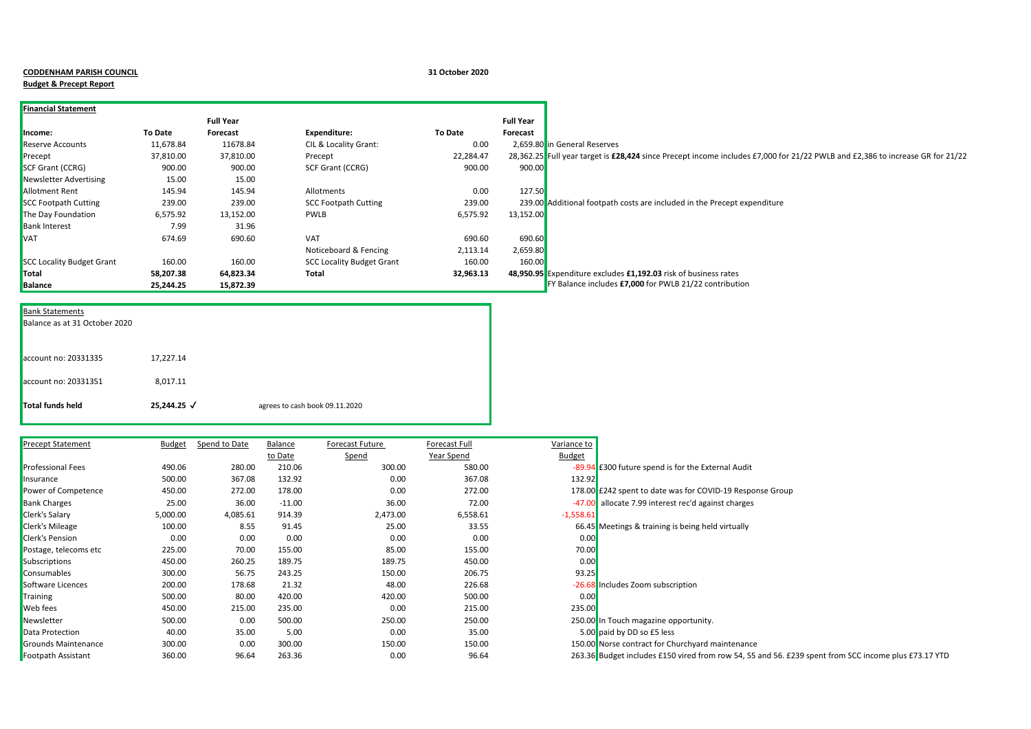## **CODDENHAM PARISH COUNCIL 31 October 2020**

## **Budget & Precept Report**

| <b>Financial Statement</b>       |           |                  |                                  |           |                                                                                                                               |
|----------------------------------|-----------|------------------|----------------------------------|-----------|-------------------------------------------------------------------------------------------------------------------------------|
|                                  |           | <b>Full Year</b> |                                  |           | <b>Full Year</b>                                                                                                              |
| Income:                          | To Date   | Forecast         | Expenditure:                     | To Date   | Forecast                                                                                                                      |
| Reserve Accounts                 | 11,678.84 | 11678.84         | CIL & Locality Grant:            | 0.00      | 2,659.80 in General Reserves                                                                                                  |
| Precept                          | 37,810.00 | 37,810.00        | Precept                          | 22,284.47 | 28,362.25 Full year target is £28,424 since Precept income includes £7,000 for 21/22 PWLB and £2,386 to increase GR for 21/22 |
| <b>SCF Grant (CCRG)</b>          | 900.00    | 900.00           | SCF Grant (CCRG)                 | 900.00    | 900.00                                                                                                                        |
| Newsletter Advertising           | 15.00     | 15.00            |                                  |           |                                                                                                                               |
| <b>Allotment Rent</b>            | 145.94    | 145.94           | Allotments                       | 0.00      | 127.50                                                                                                                        |
| <b>SCC Footpath Cutting</b>      | 239.00    | 239.00           | <b>SCC Footpath Cutting</b>      | 239.00    | 239.00 Additional footpath costs are included in the Precept expenditure                                                      |
| The Day Foundation               | 6,575.92  | 13,152.00        | <b>PWLB</b>                      | 6,575.92  | 13,152.00                                                                                                                     |
| <b>Bank Interest</b>             | 7.99      | 31.96            |                                  |           |                                                                                                                               |
| <b>VAT</b>                       | 674.69    | 690.60           | <b>VAT</b>                       | 690.60    | 690.60                                                                                                                        |
|                                  |           |                  | Noticeboard & Fencing            | 2,113.14  | 2,659.80                                                                                                                      |
| <b>SCC Locality Budget Grant</b> | 160.00    | 160.00           | <b>SCC Locality Budget Grant</b> | 160.00    | 160.00                                                                                                                        |
| Total                            | 58,207.38 | 64,823.34        | Total                            | 32,963.13 | 48,950.95 Expenditure excludes £1,192.03 risk of business rates                                                               |
| <b>Balance</b>                   | 25,244.25 | 15,872.39        |                                  |           | FY Balance includes £7,000 for PWLB 21/22 contribution                                                                        |

| Total funds held              | 25,244.25 √ | agrees to cash book 09.11.2020 |
|-------------------------------|-------------|--------------------------------|
| account no: 20331351          | 8,017.11    |                                |
| account no: 20331335          | 17,227.14   |                                |
| Balance as at 31 October 2020 |             |                                |
| <b>Bank Statements</b>        |             |                                |

| <b>Precept Statement</b>   | <b>Budget</b> | Spend to Date | Balance  | Forecast Future | Forecast Full | Variance to   |                                                                                                      |
|----------------------------|---------------|---------------|----------|-----------------|---------------|---------------|------------------------------------------------------------------------------------------------------|
|                            |               |               | to Date  | Spend           | Year Spend    | <b>Budget</b> |                                                                                                      |
| <b>Professional Fees</b>   | 490.06        | 280.00        | 210.06   | 300.00          | 580.00        |               | -89.94 E300 future spend is for the External Audit                                                   |
| Insurance                  | 500.00        | 367.08        | 132.92   | 0.00            | 367.08        | 132.92        |                                                                                                      |
| Power of Competence        | 450.00        | 272.00        | 178.00   | 0.00            | 272.00        |               | 178.00 £242 spent to date was for COVID-19 Response Group                                            |
| <b>Bank Charges</b>        | 25.00         | 36.00         | $-11.00$ | 36.00           | 72.00         |               | -47.00 allocate 7.99 interest rec'd against charges                                                  |
| <b>Clerk's Salary</b>      | 5,000.00      | 4,085.61      | 914.39   | 2,473.00        | 6,558.61      | $-1,558.61$   |                                                                                                      |
| <b>Clerk's Mileage</b>     | 100.00        | 8.55          | 91.45    | 25.00           | 33.55         |               | 66.45 Meetings & training is being held virtually                                                    |
| <b>Clerk's Pension</b>     | 0.00          | 0.00          | 0.00     | 0.00            | 0.00          | 0.00          |                                                                                                      |
| Postage, telecoms etc      | 225.00        | 70.00         | 155.00   | 85.00           | 155.00        | 70.00         |                                                                                                      |
| Subscriptions              | 450.00        | 260.25        | 189.75   | 189.75          | 450.00        | 0.00          |                                                                                                      |
| <b>Consumables</b>         | 300.00        | 56.75         | 243.25   | 150.00          | 206.75        | 93.25         |                                                                                                      |
| Software Licences          | 200.00        | 178.68        | 21.32    | 48.00           | 226.68        |               | -26.68 Includes Zoom subscription                                                                    |
| Training                   | 500.00        | 80.00         | 420.00   | 420.00          | 500.00        | 0.00          |                                                                                                      |
| <b>Web</b> fees            | 450.00        | 215.00        | 235.00   | 0.00            | 215.00        | 235.00        |                                                                                                      |
| Newsletter                 | 500.00        | 0.00          | 500.00   | 250.00          | 250.00        |               | 250.00 In Touch magazine opportunity.                                                                |
| Data Protection            | 40.00         | 35.00         | 5.00     | 0.00            | 35.00         |               | 5.00 paid by DD so £5 less                                                                           |
| <b>Grounds Maintenance</b> | 300.00        | 0.00          | 300.00   | 150.00          | 150.00        |               | 150.00 Norse contract for Churchyard maintenance                                                     |
| Footpath Assistant         | 360.00        | 96.64         | 263.36   | 0.00            | 96.64         |               | 263.36 Budget includes £150 vired from row 54, 55 and 56. £239 spent from SCC income plus £73.17 YTD |

| ariance to    |                                                                                                                 |
|---------------|-----------------------------------------------------------------------------------------------------------------|
| <b>Budget</b> |                                                                                                                 |
|               | -89.94 E300 future spend is for the External Audit                                                              |
| 132.92        |                                                                                                                 |
|               | 178.00 £242 spent to date was for COVID-19 Response Group                                                       |
|               | -47.00 allocate 7.99 interest rec'd against charges                                                             |
| $-1,558.61$   |                                                                                                                 |
|               | 66.45 Meetings & training is being held virtually                                                               |
| 0.00          |                                                                                                                 |
| 70.00         |                                                                                                                 |
| 0.00          |                                                                                                                 |
| 93.25         |                                                                                                                 |
|               | -26.68 Includes Zoom subscription                                                                               |
| 0.00          |                                                                                                                 |
| 235.00        |                                                                                                                 |
|               | 250.00 In Touch magazine opportunity.                                                                           |
|               | 5.00 paid by DD so £5 less                                                                                      |
|               | 150.00 Norse contract for Churchyard maintenance                                                                |
|               | محمد منظم به محمد من المحمد المحمد المحمد عليه المحمد العامل المحمد المحمد المحمد المحمد المحمد المحمد المحمد م |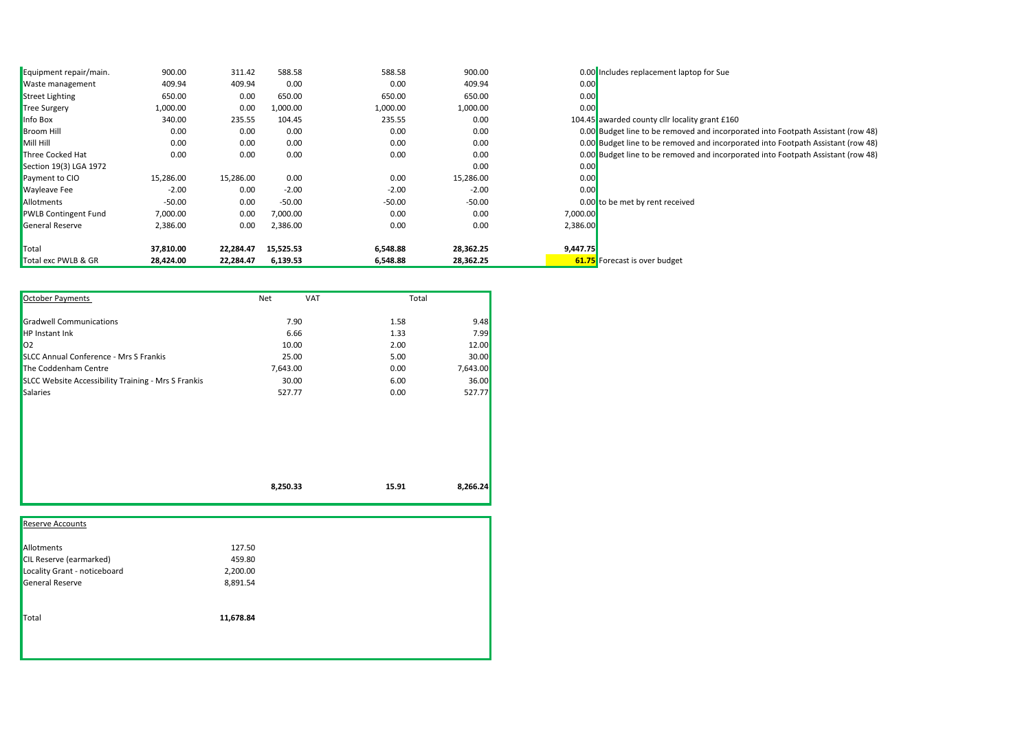| Equipment repair/main.      | 900.00    | 311.42    | 588.58    | 588.58   | 900.00    |          | 0.00 Includes replacement laptop for Sue                                         |
|-----------------------------|-----------|-----------|-----------|----------|-----------|----------|----------------------------------------------------------------------------------|
| Waste management            | 409.94    | 409.94    | 0.00      | 0.00     | 409.94    | 0.00     |                                                                                  |
| <b>Street Lighting</b>      | 650.00    | 0.00      | 650.00    | 650.00   | 650.00    | 0.00     |                                                                                  |
| <b>Tree Surgery</b>         | 1,000.00  | 0.00      | 1,000.00  | 1,000.00 | 1,000.00  | 0.00     |                                                                                  |
| Info Box                    | 340.00    | 235.55    | 104.45    | 235.55   | 0.00      |          | 104.45 awarded county cllr locality grant £160                                   |
| <b>Broom Hill</b>           | 0.00      | 0.00      | 0.00      | 0.00     | 0.00      |          | 0.00 Budget line to be removed and incorporated into Footpath Assistant (row 48) |
| Mill Hill                   | 0.00      | 0.00      | 0.00      | 0.00     | 0.00      |          | 0.00 Budget line to be removed and incorporated into Footpath Assistant (row 48) |
| Three Cocked Hat            | 0.00      | 0.00      | 0.00      | 0.00     | 0.00      |          | 0.00 Budget line to be removed and incorporated into Footpath Assistant (row 48) |
| Section 19(3) LGA 1972      |           |           |           |          | 0.00      | 0.00     |                                                                                  |
| Payment to CIO              | 15,286.00 | 15,286.00 | 0.00      | 0.00     | 15,286.00 | 0.00     |                                                                                  |
| <b>Wayleave Fee</b>         | $-2.00$   | 0.00      | $-2.00$   | $-2.00$  | $-2.00$   | 0.00     |                                                                                  |
| Allotments                  | $-50.00$  | 0.00      | $-50.00$  | $-50.00$ | $-50.00$  |          | 0.00 to be met by rent received                                                  |
| <b>PWLB Contingent Fund</b> | 7,000.00  | 0.00      | 7,000.00  | 0.00     | 0.00      | 7,000.00 |                                                                                  |
| <b>General Reserve</b>      | 2,386.00  | 0.00      | 2,386.00  | 0.00     | 0.00      | 2,386.00 |                                                                                  |
| Total                       | 37,810.00 | 22,284.47 | 15,525.53 | 6,548.88 | 28,362.25 | 9,447.75 |                                                                                  |
| Total exc PWLB & GR         | 28,424.00 | 22,284.47 | 6,139.53  | 6,548.88 | 28,362.25 |          | <b>61.75</b> Forecast is over budget                                             |

| October Payments                                    | Net<br><b>VAT</b> | Total |          |
|-----------------------------------------------------|-------------------|-------|----------|
| <b>Gradwell Communications</b>                      | 7.90              | 1.58  | 9.48     |
| <b>HP Instant Ink</b>                               | 6.66              | 1.33  | 7.99     |
| 02                                                  | 10.00             | 2.00  | 12.00    |
| <b>SLCC Annual Conference - Mrs S Frankis</b>       | 25.00             | 5.00  | 30.00    |
| The Coddenham Centre                                | 7,643.00          | 0.00  | 7,643.00 |
| SLCC Website Accessibility Training - Mrs S Frankis | 30.00             | 6.00  | 36.00    |
| <b>Salaries</b>                                     | 527.77            | 0.00  | 527.77   |
|                                                     |                   |       |          |
|                                                     | 8,250.33          | 15.91 | 8,266.24 |

| <b>Reserve Accounts</b>        |           |  |
|--------------------------------|-----------|--|
| Allotments                     | 127.50    |  |
| <b>CIL Reserve (earmarked)</b> | 459.80    |  |
| Locality Grant - noticeboard   | 2,200.00  |  |
| General Reserve                | 8,891.54  |  |
| Total                          | 11,678.84 |  |
|                                |           |  |